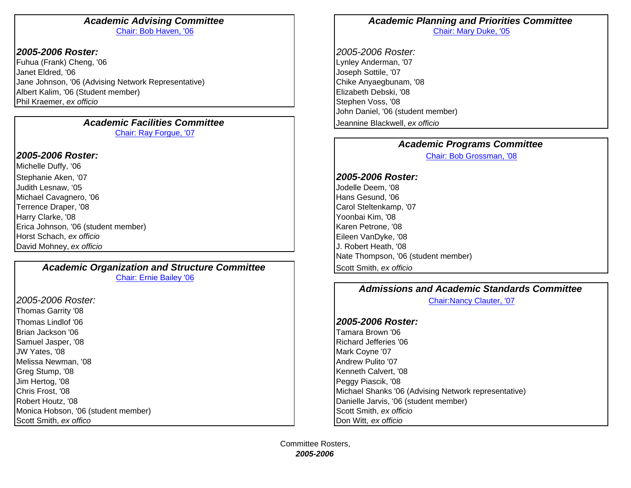## *2005-2006 Roster:*

Fuhua (Frank) Cheng, '06 Lynley Anderman, '07 Janet Eldred, '06 Joseph Sottile, '07 Jane Johnson, '06 (Advising Network Representative) Chike Anyaegbunam, '08 Albert Kalim, '06 (Student member) Elizabeth Debski, '08 Phil Kraemer, *ex officio* Stephen Voss, '08

### *Academic Facilities Committee*Chair: Ray Forgue, '07

## *2005-2006 Roster:*

Michelle Duffy, '06 Stephanie Aken, '07 *2005-2006 Roster:* Judith Lesnaw, '05 Jodelle Deem, '08 Michael Cavagnero, '06 **Hans Gesund, '06** Hans Gesund, '06 Hans Gesund, '06 Terrence Draper, '08 Carol Steltenkamp, '07 Carol Steltenkamp, '07 Harry Clarke, '08 Yoonbai Kim, '08 Erica Johnson, '06 (student member) New York New York New York New York New York New York New York New York New York New York New York New York New York New York New York New York New York New York New York New York New Yo Horst Schach, *ex officio* Eileen VanDyke, '08 David Mohney, *ex officio* J. Robert Heath, '08

**Academic Organization and Structure Committee Second Scott Smith,** *ex officio* Chair: Ernie Bailey '06

*2005-2006 Roster:*Thomas Garrity '08 Thomas Lindlof '06Brian Jackson '06Samuel Jasper, '08 **Richard Jefferies '06** Richard Jefferies '06 JW Yates, '08 Mark Coyne '07 Melissa Newman, '08 Andrew Pulito '07 Andrew Pulito '07 Andrew Pulito '07 Andrew Pulito '07 Greg Stump, '08 Kenneth Calvert, '08 Kenneth Calvert, '08 Kenneth Calvert, '08 Kenneth Calvert, '08 Kenneth Calvert, '08 Kenneth Calvert, '08 Kenneth Calvert, '08 Kenneth Calvert, '08 Kenneth Calvert, '08 Kenneth Calvert, Jim Hertog, '08 Peggy Piascik, '08 Monica Hobson, '06 (student member) Nontropie Scott Smith, *ex officio* Scott Smith, *ex officio* Scott Smith, *ex offico* Don Witt, *ex officio*

### *Academic Advising Committee Academic Planning and Priorities Committee* Chair: Bob Haven, '06 Chair: Mary Duke, '05

 *2005-2006 Roster:* John Daniel, '06 (student member) Jeannine Blackwell, *ex officio*

### *Academic Programs Committee*

Chair: Bob Grossman, '08

Nate Thompson, '06 (student member)

# *Admissions and Academic Standards Committee*

Chair:Nancy Clauter, '07

## *2005-2006 Roster:*

 Tamara Brown '06 Chris Frost, '08 **Michael Shanks '06 (Advising Network representative**) **Nichael Shanks '06 (Advising Network representative**) Robert Houtz, '08 **Danielle Jarvis, '06 (student member) Danielle Jarvis, '06 (student member)**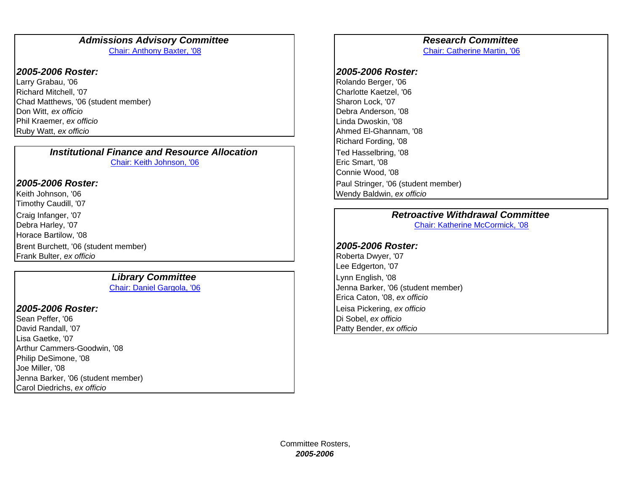### Admissions Advisory Committee *Research Committee* Chair: Anthony Baxter, '08 Chair: Catherine Martin, '06

### *2005-2006 Roster: 2005-2006 Roster:*

Larry Grabau, '06 **Rolando Berger, '06** Rolando Berger, '06 **Rolando Berger, '06** Richard Mitchell, '07 Charlotte Kaetzel, '06 Chad Matthews, '06 (student member) Sharon Lock, '07 Don Witt, *ex officio* Debra Anderson, '08 Phil Kraemer, *ex officio* Linda Dwoskin, '08 Ruby Watt, *ex officio* Ahmed El-Ghannam, '08

*Institutional Finance and Resource Allocation*Chair: Keith Johnson, '06 **Example 2018** Eric Smart, '08

### *2005-2006 Roster:*

Keith Johnson, '06 Wendy Baldwin, *ex officio* Timothy Caudill, '07 Debra Harley, '07 Chair: Katherine McCormick, '08 Horace Bartilow, '08 Brent Burchett, '06 (student member) *2005-2006 Roster:*  Frank Bulter, *ex officio* Roberta Dwyer, '07

# **Library Committee** Library **Committee** Lynn English, '08

### *2005-2006 Roster:*

Sean Peffer, '06 **Di Sobel,** *ex officio* Di Sobel, *ex officio* David Randall, '07 Patty Bender, *ex officio* Lisa Gaetke, '07 Arthur Cammers-Goodwin, '08 Philip DeSimone, '08 Joe Miller, '08 Jenna Barker, '06 (student member) Carol Diedrichs, *ex officio*

Richard Fording, '08 Ted Hasselbring, '08 Connie Wood, '08 Paul Stringer, '06 (student member)

# Craig Infanger, '07 *Retroactive Withdrawal Committee*

Lee Edgerton, '07 Chair: Daniel Gargola, '06 Jenna Barker, '06 (student member) Erica Caton, '08, *ex officio* Leisa Pickering, *ex officio*